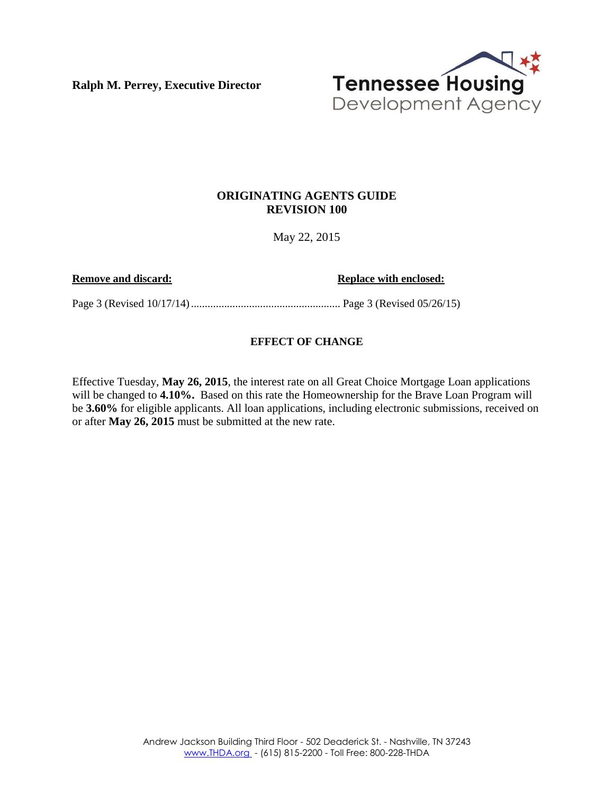**Ralph M. Perrey, Executive Director**



## **ORIGINATING AGENTS GUIDE REVISION 100**

May 22, 2015

**Remove and discard: Replace with enclosed: Replace with enclosed:** 

Page 3 (Revised 10/17/14)...................................................... Page 3 (Revised 05/26/15)

## **EFFECT OF CHANGE**

Effective Tuesday, **May 26, 2015**, the interest rate on all Great Choice Mortgage Loan applications will be changed to **4.10%.** Based on this rate the Homeownership for the Brave Loan Program will be **3.60%** for eligible applicants. All loan applications, including electronic submissions, received on or after **May 26, 2015** must be submitted at the new rate.